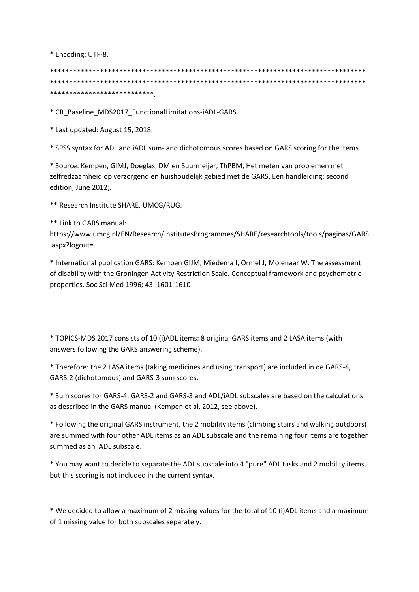\* Encoding: UTF-8.

\*\*\*\*\*\*\*\*\*\*\*\*\*\*\*\*\*\*\*\*\*\*\*\*\*\*\*\*\*\*\*\*\*\*\*\*\*\*\*\*\*\*\*\*\*\*\*\*\*\*\*\*\*\*\*\*\*\*\*\*\*\*\*\*\*\*\*\*\*\*\*\*\*\*\*\*\*\*\*\*\*\* \*\*\*\*\*\*\*\*\*\*\*\*\*\*\*\*\*\*\*\*\*\*\*\*\*\*\*\*\*\*\*\*\*\*\*\*\*\*\*\*\*\*\*\*\*\*\*\*\*\*\*\*\*\*\*\*\*\*\*\*\*\*\*\*\*\*\*\*\*\*\*\*\*\*\*\*\*\*\*\*\*\* \*\*\*\*\*\*\*\*\*\*\*\*\*\*\*\*\*\*\*\*\*\*\*\*\*\*\*.

\* CR\_Baseline\_MDS2017\_FunctionalLimitations-iADL-GARS.

\* Last updated: August 15, 2018.

\* SPSS syntax for ADL and iADL sum- and dichotomous scores based on GARS scoring for the items.

\* Source: Kempen, GIMJ, Doeglas, DM en Suurmeijer, ThPBM, Het meten van problemen met zelfredzaamheid op verzorgend en huishoudelijk gebied met de GARS, Een handleiding; second edition, June 2012;.

\*\* Research Institute SHARE, UMCG/RUG.

\*\* Link to GARS manual:

https://www.umcg.nl/EN/Research/InstitutesProgrammes/SHARE/researchtools/tools/paginas/GARS .aspx?logout=.

\* International publication GARS: Kempen GIJM, Miedema I, Ormel J, Molenaar W. The assessment of disability with the Groningen Activity Restriction Scale. Conceptual framework and psychometric properties. Soc Sci Med 1996; 43: 1601-1610

\* TOPICS-MDS 2017 consists of 10 (i)ADL items: 8 original GARS items and 2 LASA items (with answers following the GARS answering scheme).

\* Therefore: the 2 LASA items (taking medicines and using transport) are included in de GARS-4, GARS-2 (dichotomous) and GARS-3 sum scores.

\* Sum scores for GARS-4, GARS-2 and GARS-3 and ADL/iADL subscales are based on the calculations as described in the GARS manual (Kempen et al, 2012, see above).

\* Following the original GARS instrument, the 2 mobility items (climbing stairs and walking outdoors) are summed with four other ADL items as an ADL subscale and the remaining four items are together summed as an iADL subscale.

\* You may want to decide to separate the ADL subscale into 4 "pure" ADL tasks and 2 mobility items, but this scoring is not included in the current syntax.

\* We decided to allow a maximum of 2 missing values for the total of 10 (i)ADL items and a maximum of 1 missing value for both subscales separately.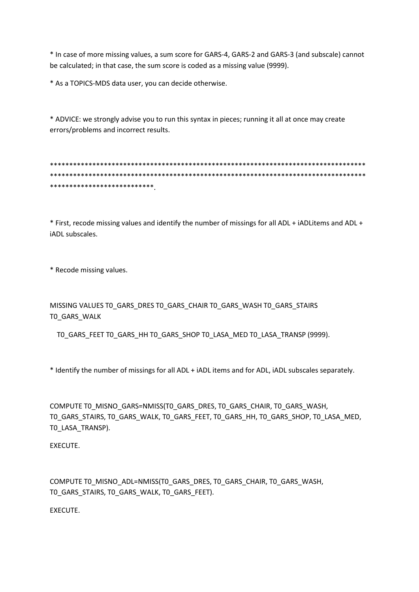\* In case of more missing values, a sum score for GARS-4, GARS-2 and GARS-3 (and subscale) cannot be calculated; in that case, the sum score is coded as a missing value (9999).

\* As a TOPICS-MDS data user, you can decide otherwise.

\* ADVICE: we strongly advise you to run this syntax in pieces; running it all at once may create errors/problems and incorrect results.

\*\*\*\*\*\*\*\*\*\*\*\*\*\*\*\*\*\*\*\*\*\*\*\*\*\*\*\*\*\*\*\*\*\*\*\*\*\*\*\*\*\*\*\*\*\*\*\*\*\*\*\*\*\*\*\*\*\*\*\*\*\*\*\*\*\*\*\*\*\*\*\*\*\*\*\*\*\*\*\*\*\* \*\*\*\*\*\*\*\*\*\*\*\*\*\*\*\*\*\*\*\*\*\*\*\*\*\*\*\*\*\*\*\*\*\*\*\*\*\*\*\*\*\*\*\*\*\*\*\*\*\*\*\*\*\*\*\*\*\*\*\*\*\*\*\*\*\*\*\*\*\*\*\*\*\*\*\*\*\*\*\*\*\* \*\*\*\*\*\*\*\*\*\*\*\*\*\*\*\*\*\*\*\*\*\*\*\*\*\*\*.

\* First, recode missing values and identify the number of missings for all ADL + iADLitems and ADL + iADL subscales.

\* Recode missing values.

MISSING VALUES T0\_GARS\_DRES T0\_GARS\_CHAIR T0\_GARS\_WASH T0\_GARS\_STAIRS T0\_GARS\_WALK

T0\_GARS\_FEET T0\_GARS\_HH T0\_GARS\_SHOP T0\_LASA\_MED T0\_LASA\_TRANSP (9999).

\* Identify the number of missings for all ADL + iADL items and for ADL, iADL subscales separately.

COMPUTE T0\_MISNO\_GARS=NMISS(T0\_GARS\_DRES, T0\_GARS\_CHAIR, T0\_GARS\_WASH, T0\_GARS\_STAIRS, T0\_GARS\_WALK, T0\_GARS\_FEET, T0\_GARS\_HH, T0\_GARS\_SHOP, T0\_LASA\_MED, T0\_LASA\_TRANSP).

EXECUTE.

COMPUTE T0\_MISNO\_ADL=NMISS(T0\_GARS\_DRES, T0\_GARS\_CHAIR, T0\_GARS\_WASH, T0\_GARS\_STAIRS, T0\_GARS\_WALK, T0\_GARS\_FEET).

EXECUTE.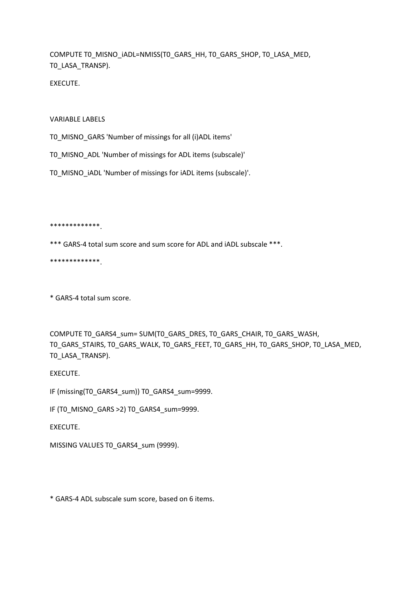COMPUTE T0\_MISNO\_iADL=NMISS(T0\_GARS\_HH, T0\_GARS\_SHOP, T0\_LASA\_MED, T0\_LASA\_TRANSP).

EXECUTE.

VARIABLE LABELS

T0\_MISNO\_GARS 'Number of missings for all (i)ADL items'

T0\_MISNO\_ADL 'Number of missings for ADL items (subscale)'

T0\_MISNO\_iADL 'Number of missings for iADL items (subscale)'.

\*\*\*\*\*\*\*\*\*\*\*\*\*.

\*\*\* GARS-4 total sum score and sum score for ADL and iADL subscale \*\*\*.

\*\*\*\*\*\*\*\*\*\*\*\*\*.

\* GARS-4 total sum score.

COMPUTE T0\_GARS4\_sum= SUM(T0\_GARS\_DRES, T0\_GARS\_CHAIR, T0\_GARS\_WASH, T0\_GARS\_STAIRS, T0\_GARS\_WALK, T0\_GARS\_FEET, T0\_GARS\_HH, T0\_GARS\_SHOP, T0\_LASA\_MED, T0\_LASA\_TRANSP).

EXECUTE.

IF (missing(T0\_GARS4\_sum)) T0\_GARS4\_sum=9999.

IF (T0\_MISNO\_GARS >2) T0\_GARS4\_sum=9999.

EXECUTE.

MISSING VALUES T0\_GARS4\_sum (9999).

\* GARS-4 ADL subscale sum score, based on 6 items.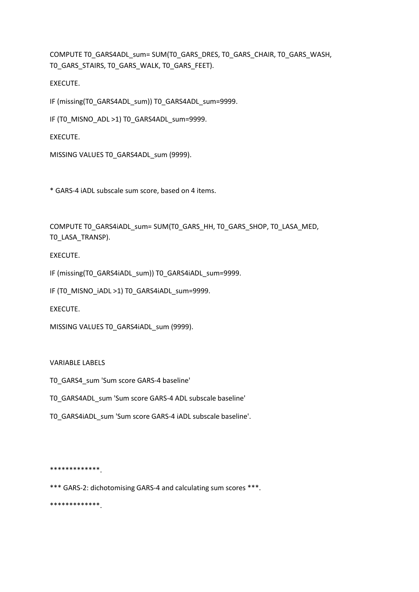COMPUTE T0\_GARS4ADL\_sum= SUM(T0\_GARS\_DRES, T0\_GARS\_CHAIR, T0\_GARS\_WASH, T0\_GARS\_STAIRS, T0\_GARS\_WALK, T0\_GARS\_FEET).

EXECUTE.

IF (missing(T0\_GARS4ADL\_sum)) T0\_GARS4ADL\_sum=9999.

IF (TO MISNO ADL >1) TO GARS4ADL sum=9999.

EXECUTE.

MISSING VALUES T0\_GARS4ADL\_sum (9999).

\* GARS-4 iADL subscale sum score, based on 4 items.

COMPUTE T0\_GARS4iADL\_sum= SUM(T0\_GARS\_HH, T0\_GARS\_SHOP, T0\_LASA\_MED, T0\_LASA\_TRANSP).

EXECUTE.

IF (missing(T0\_GARS4iADL\_sum)) T0\_GARS4iADL\_sum=9999.

IF (T0\_MISNO\_iADL >1) T0\_GARS4iADL\_sum=9999.

EXECUTE.

MISSING VALUES TO GARS4iADL sum (9999).

## VARIABLE LABELS

T0\_GARS4\_sum 'Sum score GARS-4 baseline'

T0\_GARS4ADL\_sum 'Sum score GARS-4 ADL subscale baseline'

T0\_GARS4iADL\_sum 'Sum score GARS-4 iADL subscale baseline'.

\*\*\*\*\*\*\*\*\*\*\*\*\*.

\*\*\* GARS-2: dichotomising GARS-4 and calculating sum scores \*\*\*.

\*\*\*\*\*\*\*\*\*\*\*\*\*.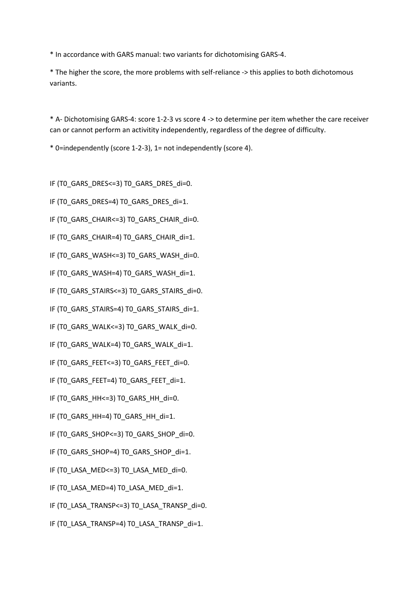\* In accordance with GARS manual: two variants for dichotomising GARS-4.

\* The higher the score, the more problems with self-reliance -> this applies to both dichotomous variants.

\* A- Dichotomising GARS-4: score 1-2-3 vs score 4 -> to determine per item whether the care receiver can or cannot perform an activitity independently, regardless of the degree of difficulty.

\* 0=independently (score 1-2-3), 1= not independently (score 4).

IF (TO GARS DRES<=3) TO GARS DRES di=0.

- IF (TO GARS DRES=4) TO GARS DRES di=1.
- IF (TO GARS CHAIR<=3) TO GARS CHAIR di=0.
- IF (TO GARS CHAIR=4) TO GARS CHAIR di=1.
- IF (TO GARS WASH<=3) TO GARS WASH\_di=0.
- IF (T0\_GARS\_WASH=4) T0\_GARS\_WASH\_di=1.
- IF (TO GARS STAIRS<=3) TO GARS STAIRS di=0.
- IF (T0\_GARS\_STAIRS=4) T0\_GARS\_STAIRS\_di=1.
- IF (TO GARS WALK<=3) TO GARS WALK di=0.
- IF (TO GARS WALK=4) TO GARS WALK di=1.
- IF (T0\_GARS\_FEET<=3) T0\_GARS\_FEET\_di=0.
- IF (T0\_GARS\_FEET=4) T0\_GARS\_FEET\_di=1.
- IF (T0\_GARS\_HH<=3) T0\_GARS\_HH\_di=0.
- IF (T0\_GARS\_HH=4) T0\_GARS\_HH\_di=1.
- IF (T0\_GARS\_SHOP<=3) T0\_GARS\_SHOP\_di=0.
- IF (TO GARS SHOP=4) TO GARS SHOP di=1.
- IF (TO LASA MED<=3) TO LASA MED di=0.
- IF (T0\_LASA\_MED=4) T0\_LASA\_MED\_di=1.
- IF (TO LASA TRANSP<=3) TO LASA TRANSP\_di=0.
- IF (TO LASA TRANSP=4) TO LASA TRANSP\_di=1.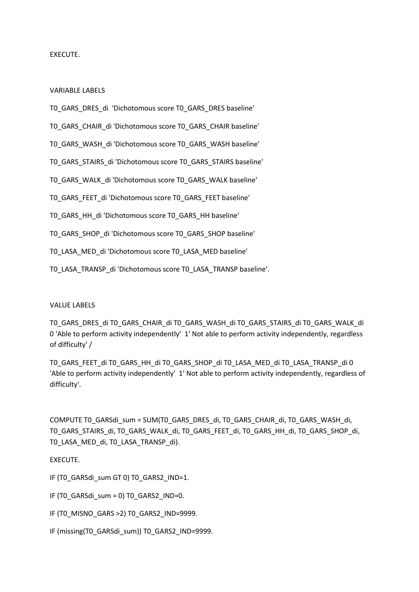VARIABLE LABELS

T0\_GARS\_DRES\_di 'Dichotomous score T0\_GARS\_DRES baseline'

T0\_GARS\_CHAIR\_di 'Dichotomous score T0\_GARS\_CHAIR baseline'

T0\_GARS\_WASH\_di 'Dichotomous score T0\_GARS\_WASH baseline'

T0\_GARS\_STAIRS\_di 'Dichotomous score T0\_GARS\_STAIRS baseline'

T0\_GARS\_WALK\_di 'Dichotomous score T0\_GARS\_WALK baseline'

T0\_GARS\_FEET\_di 'Dichotomous score T0\_GARS\_FEET baseline'

T0\_GARS\_HH\_di 'Dichotomous score T0\_GARS\_HH baseline'

T0\_GARS\_SHOP\_di 'Dichotomous score T0\_GARS\_SHOP baseline'

T0\_LASA\_MED\_di 'Dichotomous score T0\_LASA\_MED baseline'

T0\_LASA\_TRANSP\_di 'Dichotomous score T0\_LASA\_TRANSP baseline'.

## VALUE LABELS

T0\_GARS\_DRES\_di T0\_GARS\_CHAIR\_di T0\_GARS\_WASH\_di T0\_GARS\_STAIRS\_di T0\_GARS\_WALK\_di 0 'Able to perform activity independently' 1' Not able to perform activity independently, regardless of difficulty' /

T0\_GARS\_FEET\_di T0\_GARS\_HH\_di T0\_GARS\_SHOP\_di T0\_LASA\_MED\_di T0\_LASA\_TRANSP\_di 0 'Able to perform activity independently' 1' Not able to perform activity independently, regardless of difficulty'.

COMPUTE T0\_GARSdi\_sum = SUM(T0\_GARS\_DRES\_di, T0\_GARS\_CHAIR\_di, T0\_GARS\_WASH\_di, T0\_GARS\_STAIRS\_di, T0\_GARS\_WALK\_di, T0\_GARS\_FEET\_di, T0\_GARS\_HH\_di, T0\_GARS\_SHOP\_di, T0\_LASA\_MED\_di, T0\_LASA\_TRANSP\_di).

# EXECUTE.

IF (TO GARSdi\_sum GT 0) TO GARS2\_IND=1.

IF (T0\_GARSdi\_sum = 0) T0\_GARS2\_IND=0.

IF (TO MISNO GARS > 2) TO GARS2 IND=9999.

IF (missing(T0\_GARSdi\_sum)) T0\_GARS2\_IND=9999.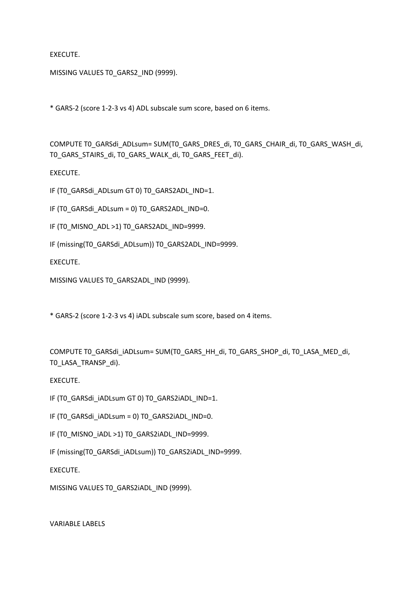MISSING VALUES TO GARS2 IND (9999).

\* GARS-2 (score 1-2-3 vs 4) ADL subscale sum score, based on 6 items.

COMPUTE T0\_GARSdi\_ADLsum= SUM(T0\_GARS\_DRES\_di, T0\_GARS\_CHAIR\_di, T0\_GARS\_WASH\_di, T0\_GARS\_STAIRS\_di, T0\_GARS\_WALK\_di, T0\_GARS\_FEET\_di).

EXECUTE.

IF (T0\_GARSdi\_ADLsum GT 0) T0\_GARS2ADL\_IND=1.

IF (T0\_GARSdi\_ADLsum = 0) T0\_GARS2ADL\_IND=0.

IF (TO MISNO ADL >1) TO GARS2ADL IND=9999.

IF (missing(T0\_GARSdi\_ADLsum)) T0\_GARS2ADL\_IND=9999.

EXECUTE.

MISSING VALUES TO GARS2ADL IND (9999).

\* GARS-2 (score 1-2-3 vs 4) iADL subscale sum score, based on 4 items.

COMPUTE T0\_GARSdi\_iADLsum= SUM(T0\_GARS\_HH\_di, T0\_GARS\_SHOP\_di, T0\_LASA\_MED\_di, T0\_LASA\_TRANSP\_di).

EXECUTE.

IF (T0\_GARSdi\_iADLsum GT 0) T0\_GARS2iADL\_IND=1.

IF (T0\_GARSdi\_iADLsum = 0) T0\_GARS2iADL\_IND=0.

IF (T0\_MISNO\_iADL >1) T0\_GARS2iADL\_IND=9999.

IF (missing(T0\_GARSdi\_iADLsum)) T0\_GARS2iADL\_IND=9999.

EXECUTE.

MISSING VALUES T0\_GARS2iADL\_IND (9999).

VARIABLE LABELS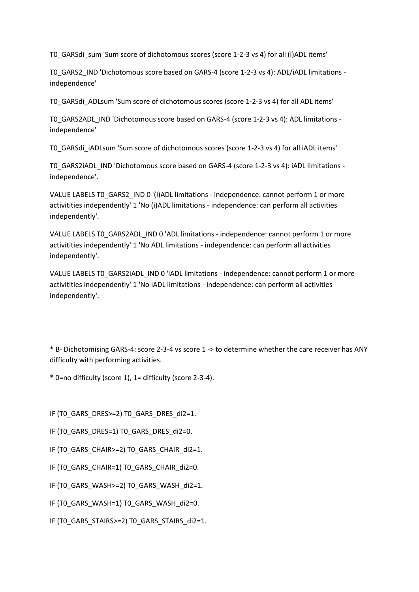T0\_GARSdi\_sum 'Sum score of dichotomous scores (score 1-2-3 vs 4) for all (i)ADL items'

T0\_GARS2\_IND 'Dichotomous score based on GARS-4 (score 1-2-3 vs 4): ADL/iADL limitations independence'

T0\_GARSdi\_ADLsum 'Sum score of dichotomous scores (score 1-2-3 vs 4) for all ADL items'

T0\_GARS2ADL\_IND 'Dichotomous score based on GARS-4 (score 1-2-3 vs 4): ADL limitations independence'

T0\_GARSdi\_iADLsum 'Sum score of dichotomous scores (score 1-2-3 vs 4) for all iADL items'

T0\_GARS2iADL\_IND 'Dichotomous score based on GARS-4 (score 1-2-3 vs 4): iADL limitations independence'.

VALUE LABELS TO GARS2 IND 0 '(i)ADL limitations - independence: cannot perform 1 or more activitities independently' 1 'No (i)ADL limitations - independence: can perform all activities independently'.

VALUE LABELS T0\_GARS2ADL\_IND 0 'ADL limitations - independence: cannot perform 1 or more activitities independently' 1 'No ADL limitations - independence: can perform all activities independently'.

VALUE LABELS T0\_GARS2iADL\_IND 0 'iADL limitations - independence: cannot perform 1 or more activitities independently' 1 'No iADL limitations - independence: can perform all activities independently'.

\* B- Dichotomising GARS-4: score 2-3-4 vs score 1 -> to determine whether the care receiver has ANY difficulty with performing activities.

\* 0=no difficulty (score 1), 1= difficulty (score 2-3-4).

IF (T0\_GARS\_DRES>=2) T0\_GARS\_DRES\_di2=1.

- IF (TO GARS DRES=1) TO GARS DRES di2=0.
- IF (TO GARS CHAIR>=2) TO GARS CHAIR di2=1.
- IF (T0\_GARS\_CHAIR=1) T0\_GARS\_CHAIR\_di2=0.
- IF (TO GARS WASH>=2) TO GARS WASH di2=1.
- IF (T0\_GARS\_WASH=1) T0\_GARS\_WASH\_di2=0.
- IF (TO GARS STAIRS>=2) TO GARS STAIRS di2=1.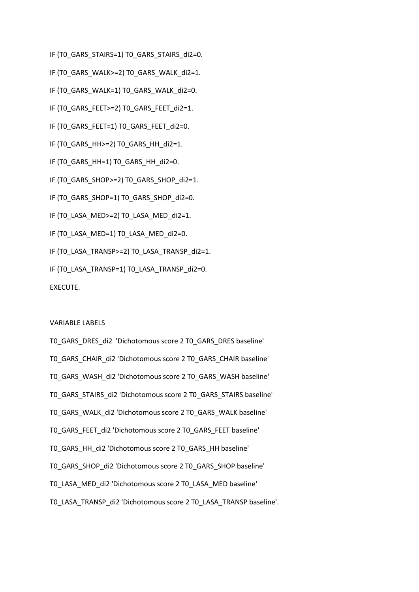- IF (TO GARS STAIRS=1) TO GARS STAIRS di2=0.
- IF (TO GARS WALK>=2) TO GARS WALK di2=1.
- IF (TO GARS WALK=1) TO GARS WALK di2=0.
- IF (TO GARS FEET>=2) TO GARS FEET di2=1.
- IF (T0\_GARS\_FEET=1) T0\_GARS\_FEET\_di2=0.
- IF (TO GARS HH>=2) TO GARS HH\_di2=1.
- IF (T0\_GARS\_HH=1) T0\_GARS\_HH\_di2=0.
- IF (T0\_GARS\_SHOP>=2) T0\_GARS\_SHOP\_di2=1.
- IF (TO GARS SHOP=1) TO GARS SHOP di2=0.
- IF (T0\_LASA\_MED>=2) T0\_LASA\_MED\_di2=1.
- IF (T0\_LASA\_MED=1) T0\_LASA\_MED\_di2=0.
- IF (TO LASA TRANSP>=2) TO LASA TRANSP\_di2=1.
- IF (T0\_LASA\_TRANSP=1) T0\_LASA\_TRANSP\_di2=0.

#### VARIABLE LABELS

- T0\_GARS\_DRES\_di2 'Dichotomous score 2 T0\_GARS\_DRES baseline' T0\_GARS\_CHAIR\_di2 'Dichotomous score 2 T0\_GARS\_CHAIR baseline'
- T0\_GARS\_WASH\_di2 'Dichotomous score 2 T0\_GARS\_WASH baseline'
- T0\_GARS\_STAIRS\_di2 'Dichotomous score 2 T0\_GARS\_STAIRS baseline'
- T0\_GARS\_WALK\_di2 'Dichotomous score 2 T0\_GARS\_WALK baseline'
- T0\_GARS\_FEET\_di2 'Dichotomous score 2 T0\_GARS\_FEET baseline'
- T0\_GARS\_HH\_di2 'Dichotomous score 2 T0\_GARS\_HH baseline'
- T0\_GARS\_SHOP\_di2 'Dichotomous score 2 T0\_GARS\_SHOP baseline'
- T0\_LASA\_MED\_di2 'Dichotomous score 2 T0\_LASA\_MED baseline'
- T0\_LASA\_TRANSP\_di2 'Dichotomous score 2 T0\_LASA\_TRANSP baseline'.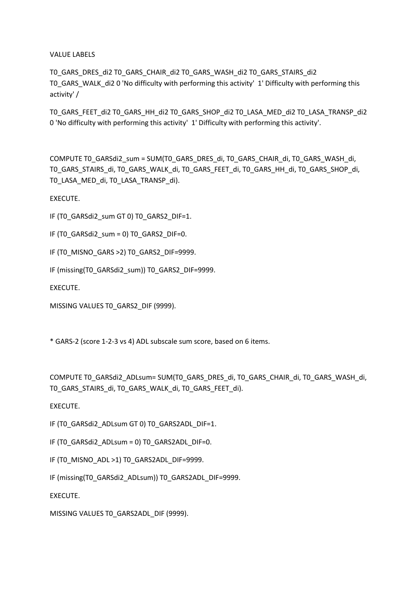VALUE LABELS

T0\_GARS\_DRES\_di2 T0\_GARS\_CHAIR\_di2 T0\_GARS\_WASH\_di2 T0\_GARS\_STAIRS\_di2 T0\_GARS\_WALK\_di2 0 'No difficulty with performing this activity' 1' Difficulty with performing this activity' /

T0\_GARS\_FEET\_di2 T0\_GARS\_HH\_di2 T0\_GARS\_SHOP\_di2 T0\_LASA\_MED\_di2 T0\_LASA\_TRANSP\_di2 0 'No difficulty with performing this activity' 1' Difficulty with performing this activity'.

COMPUTE T0\_GARSdi2\_sum = SUM(T0\_GARS\_DRES\_di, T0\_GARS\_CHAIR\_di, T0\_GARS\_WASH\_di, T0\_GARS\_STAIRS\_di, T0\_GARS\_WALK\_di, T0\_GARS\_FEET\_di, T0\_GARS\_HH\_di, T0\_GARS\_SHOP\_di, T0\_LASA\_MED\_di, T0\_LASA\_TRANSP\_di).

EXECUTE.

IF (T0\_GARSdi2\_sum GT 0) T0\_GARS2\_DIF=1.

IF (TO GARSdi2\_sum = 0) TO GARS2\_DIF=0.

IF (TO MISNO GARS >2) TO GARS2 DIF=9999.

IF (missing(T0\_GARSdi2\_sum)) T0\_GARS2\_DIF=9999.

EXECUTE.

MISSING VALUES T0\_GARS2\_DIF (9999).

\* GARS-2 (score 1-2-3 vs 4) ADL subscale sum score, based on 6 items.

COMPUTE T0\_GARSdi2\_ADLsum= SUM(T0\_GARS\_DRES\_di, T0\_GARS\_CHAIR\_di, T0\_GARS\_WASH\_di, TO GARS STAIRS di, TO GARS WALK di, TO GARS FEET di).

EXECUTE.

IF (TO GARSdi2\_ADLsum GT 0) TO GARS2ADL\_DIF=1.

IF (TO GARSdi2\_ADLsum = 0) TO GARS2ADL\_DIF=0.

IF (T0\_MISNO\_ADL >1) T0\_GARS2ADL\_DIF=9999.

IF (missing(T0\_GARSdi2\_ADLsum)) T0\_GARS2ADL\_DIF=9999.

EXECUTE.

MISSING VALUES T0\_GARS2ADL\_DIF (9999).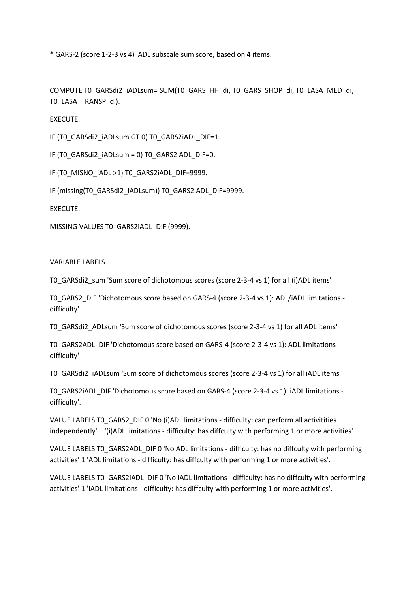\* GARS-2 (score 1-2-3 vs 4) iADL subscale sum score, based on 4 items.

COMPUTE T0\_GARSdi2\_iADLsum= SUM(T0\_GARS\_HH\_di, T0\_GARS\_SHOP\_di, T0\_LASA\_MED\_di, T0\_LASA\_TRANSP\_di).

EXECUTE.

IF (T0\_GARSdi2\_iADLsum GT 0) T0\_GARS2iADL\_DIF=1.

IF (T0\_GARSdi2\_iADLsum = 0) T0\_GARS2iADL\_DIF=0.

IF (T0\_MISNO\_iADL >1) T0\_GARS2iADL\_DIF=9999.

IF (missing(T0\_GARSdi2\_iADLsum)) T0\_GARS2iADL\_DIF=9999.

EXECUTE.

MISSING VALUES T0\_GARS2iADL\_DIF (9999).

#### VARIABLE LABELS

T0\_GARSdi2\_sum 'Sum score of dichotomous scores (score 2-3-4 vs 1) for all (i)ADL items'

T0\_GARS2\_DIF 'Dichotomous score based on GARS-4 (score 2-3-4 vs 1): ADL/iADL limitations difficulty'

T0\_GARSdi2\_ADLsum 'Sum score of dichotomous scores (score 2-3-4 vs 1) for all ADL items'

TO GARS2ADL DIF 'Dichotomous score based on GARS-4 (score 2-3-4 vs 1): ADL limitations difficulty'

T0\_GARSdi2\_iADLsum 'Sum score of dichotomous scores (score 2-3-4 vs 1) for all iADL items'

T0\_GARS2iADL\_DIF 'Dichotomous score based on GARS-4 (score 2-3-4 vs 1): iADL limitations difficulty'.

VALUE LABELS TO GARS2 DIF 0 'No (i)ADL limitations - difficulty: can perform all activitities independently' 1 '(i)ADL limitations - difficulty: has diffculty with performing 1 or more activities'.

VALUE LABELS TO GARS2ADL DIF 0 'No ADL limitations - difficulty: has no diffculty with performing activities' 1 'ADL limitations - difficulty: has diffculty with performing 1 or more activities'.

VALUE LABELS T0\_GARS2iADL\_DIF 0 'No iADL limitations - difficulty: has no diffculty with performing activities' 1 'iADL limitations - difficulty: has diffculty with performing 1 or more activities'.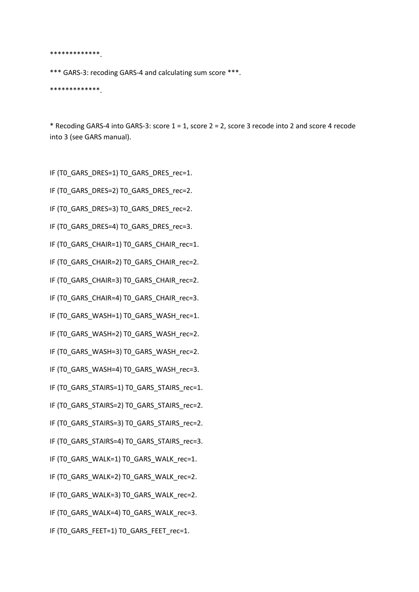\*\*\*\*\*\*\*\*\*\*\*\*\*.

\*\*\* GARS-3: recoding GARS-4 and calculating sum score \*\*\*.

\*\*\*\*\*\*\*\*\*\*\*\*\*.

\* Recoding GARS-4 into GARS-3: score 1 = 1, score 2 = 2, score 3 recode into 2 and score 4 recode into 3 (see GARS manual).

IF (T0\_GARS\_DRES=1) T0\_GARS\_DRES\_rec=1.

- IF (T0\_GARS\_DRES=2) T0\_GARS\_DRES\_rec=2.
- IF (T0\_GARS\_DRES=3) T0\_GARS\_DRES\_rec=2.
- IF (T0\_GARS\_DRES=4) T0\_GARS\_DRES\_rec=3.
- IF (T0\_GARS\_CHAIR=1) T0\_GARS\_CHAIR\_rec=1.

IF (T0\_GARS\_CHAIR=2) T0\_GARS\_CHAIR\_rec=2.

IF (T0\_GARS\_CHAIR=3) T0\_GARS\_CHAIR\_rec=2.

IF (T0\_GARS\_CHAIR=4) T0\_GARS\_CHAIR\_rec=3.

IF (T0\_GARS\_WASH=1) T0\_GARS\_WASH\_rec=1.

IF (T0\_GARS\_WASH=2) T0\_GARS\_WASH\_rec=2.

IF (T0\_GARS\_WASH=3) T0\_GARS\_WASH\_rec=2.

IF (T0\_GARS\_WASH=4) T0\_GARS\_WASH\_rec=3.

IF (T0\_GARS\_STAIRS=1) T0\_GARS\_STAIRS\_rec=1.

IF (T0\_GARS\_STAIRS=2) T0\_GARS\_STAIRS\_rec=2.

IF (T0\_GARS\_STAIRS=3) T0\_GARS\_STAIRS\_rec=2.

IF (T0\_GARS\_STAIRS=4) T0\_GARS\_STAIRS\_rec=3.

IF (T0\_GARS\_WALK=1) T0\_GARS\_WALK\_rec=1.

IF (T0\_GARS\_WALK=2) T0\_GARS\_WALK\_rec=2.

IF (T0\_GARS\_WALK=3) T0\_GARS\_WALK\_rec=2.

IF (T0\_GARS\_WALK=4) T0\_GARS\_WALK\_rec=3.

IF (T0\_GARS\_FEET=1) T0\_GARS\_FEET\_rec=1.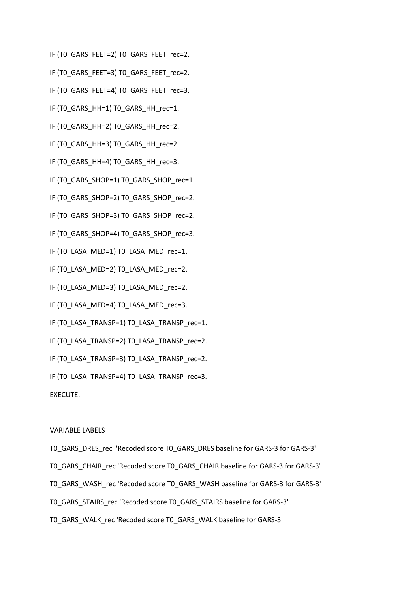- IF (TO GARS FEET=2) TO GARS FEET rec=2.
- IF (TO GARS FEET=3) TO GARS FEET rec=2.
- IF (TO GARS FEET=4) TO GARS FEET rec=3.
- IF (TO GARS HH=1) TO GARS HH rec=1.
- IF (TO GARS HH=2) TO GARS HH rec=2.
- IF (TO GARS HH=3) TO GARS HH rec=2.
- IF (T0\_GARS\_HH=4) T0\_GARS\_HH\_rec=3.
- IF (T0\_GARS\_SHOP=1) T0\_GARS\_SHOP\_rec=1.
- IF (TO GARS SHOP=2) TO GARS SHOP rec=2.
- IF (T0\_GARS\_SHOP=3) T0\_GARS\_SHOP\_rec=2.
- IF (T0\_GARS\_SHOP=4) T0\_GARS\_SHOP\_rec=3.
- IF (TO LASA MED=1) TO LASA MED rec=1.
- IF (T0\_LASA\_MED=2) T0\_LASA\_MED\_rec=2.
- IF (T0\_LASA\_MED=3) T0\_LASA\_MED\_rec=2.
- IF (T0\_LASA\_MED=4) T0\_LASA\_MED\_rec=3.
- IF (T0\_LASA\_TRANSP=1) T0\_LASA\_TRANSP\_rec=1.
- IF (T0\_LASA\_TRANSP=2) T0\_LASA\_TRANSP\_rec=2.
- IF (T0\_LASA\_TRANSP=3) T0\_LASA\_TRANSP\_rec=2.
- IF (TO LASA TRANSP=4) TO LASA TRANSP\_rec=3.

#### VARIABLE LABELS

T0\_GARS\_DRES\_rec 'Recoded score T0\_GARS\_DRES baseline for GARS-3 for GARS-3' T0\_GARS\_CHAIR\_rec 'Recoded score T0\_GARS\_CHAIR baseline for GARS-3 for GARS-3' T0\_GARS\_WASH\_rec 'Recoded score T0\_GARS\_WASH baseline for GARS-3 for GARS-3' T0\_GARS\_STAIRS\_rec 'Recoded score T0\_GARS\_STAIRS baseline for GARS-3' T0\_GARS\_WALK\_rec 'Recoded score T0\_GARS\_WALK baseline for GARS-3'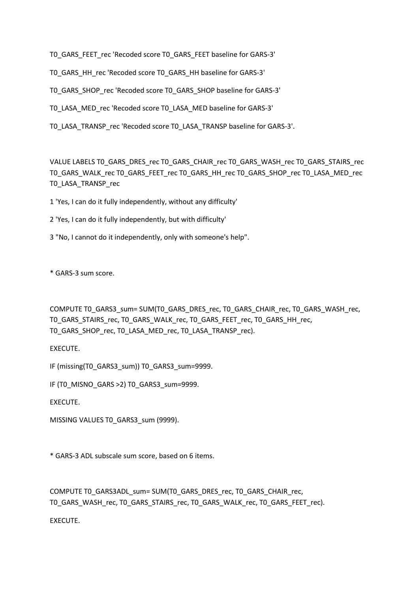T0\_GARS\_FEET\_rec 'Recoded score T0\_GARS\_FEET baseline for GARS-3'

TO GARS HH\_rec 'Recoded score TO GARS\_HH baseline for GARS-3'

T0\_GARS\_SHOP\_rec 'Recoded score T0\_GARS\_SHOP baseline for GARS-3'

T0\_LASA\_MED\_rec 'Recoded score T0\_LASA\_MED baseline for GARS-3'

T0\_LASA\_TRANSP\_rec 'Recoded score T0\_LASA\_TRANSP baseline for GARS-3'.

VALUE LABELS T0\_GARS\_DRES\_rec T0\_GARS\_CHAIR\_rec T0\_GARS\_WASH\_rec T0\_GARS\_STAIRS\_rec T0\_GARS\_WALK\_rec T0\_GARS\_FEET\_rec T0\_GARS\_HH\_rec T0\_GARS\_SHOP\_rec T0\_LASA\_MED\_rec T0\_LASA\_TRANSP\_rec

1 'Yes, I can do it fully independently, without any difficulty'

2 'Yes, I can do it fully independently, but with difficulty'

3 "No, I cannot do it independently, only with someone's help".

\* GARS-3 sum score.

COMPUTE T0\_GARS3\_sum= SUM(T0\_GARS\_DRES\_rec, T0\_GARS\_CHAIR\_rec, T0\_GARS\_WASH\_rec, T0\_GARS\_STAIRS\_rec, T0\_GARS\_WALK\_rec, T0\_GARS\_FEET\_rec, T0\_GARS\_HH\_rec, T0\_GARS\_SHOP\_rec, T0\_LASA\_MED\_rec, T0\_LASA\_TRANSP\_rec).

EXECUTE.

IF (missing(T0\_GARS3\_sum)) T0\_GARS3\_sum=9999.

IF (TO MISNO GARS >2) TO GARS3\_sum=9999.

EXECUTE.

MISSING VALUES TO GARS3\_sum (9999).

\* GARS-3 ADL subscale sum score, based on 6 items.

COMPUTE T0\_GARS3ADL\_sum= SUM(T0\_GARS\_DRES\_rec, T0\_GARS\_CHAIR\_rec, T0\_GARS\_WASH\_rec, T0\_GARS\_STAIRS\_rec, T0\_GARS\_WALK\_rec, T0\_GARS\_FEET\_rec).

EXECUTE.